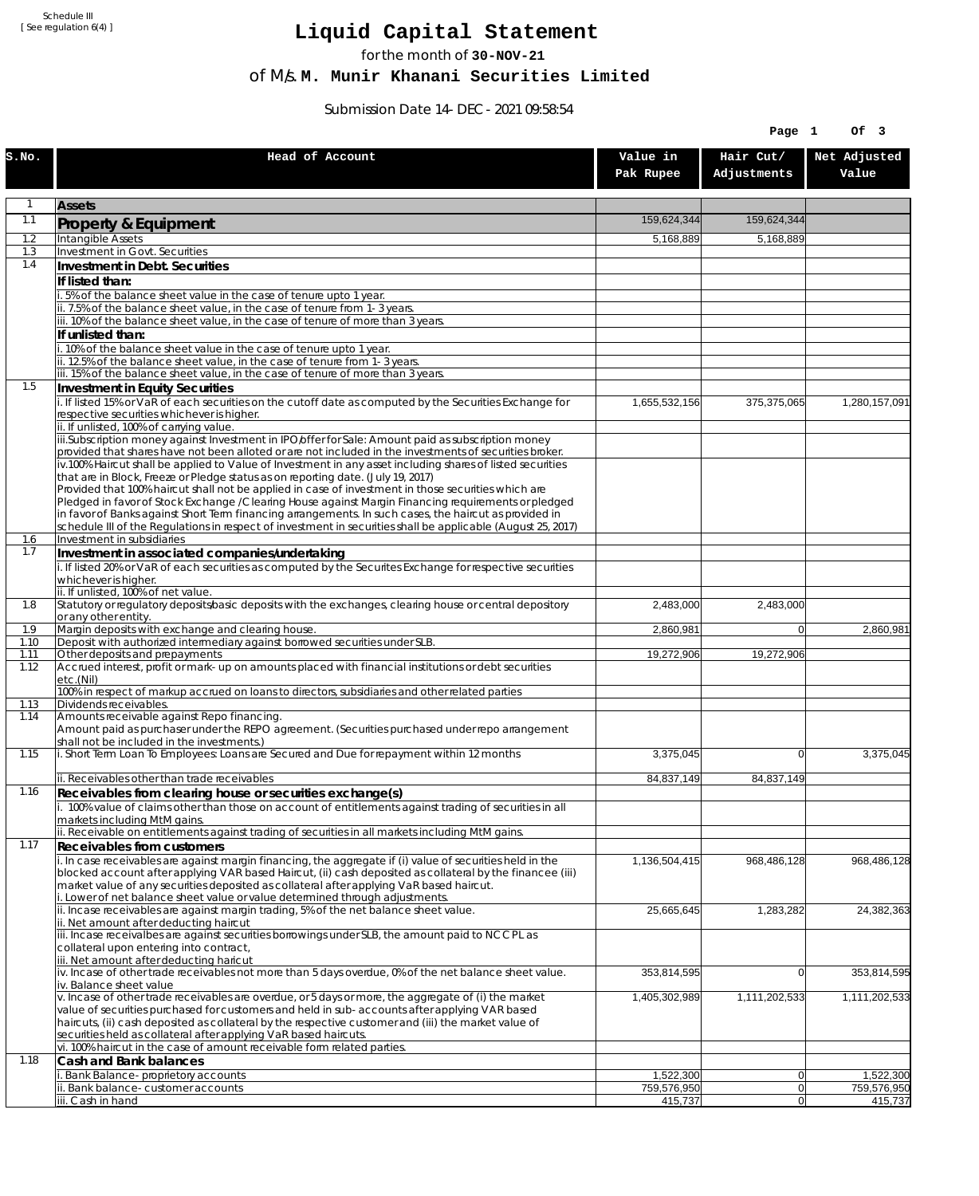Schedule III [ See regulation 6(4) ]

## **Liquid Capital Statement**

for the month of **30-NOV-21**

of M/s. **M. Munir Khanani Securities Limited**

Submission Date 14-DEC-2021 09:58:54

| Hair Cut/<br>Head of Account<br>Value in<br>Net Adjusted<br>Adjustments<br>Pak Rupee<br>Value<br>$\mathbf{1}$<br><b>Assets</b><br>1.1<br>159,624,344<br>159,624,344<br><b>Property &amp; Equipment</b><br>Intangible Assets<br>1.2<br>5,168,889<br>5,168,889<br>1.3<br>Investment in Govt. Securities<br>1.4<br>Investment in Debt. Securities<br>If listed than:<br>i. 5% of the balance sheet value in the case of tenure upto 1 year.<br>ii. 7.5% of the balance sheet value, in the case of tenure from 1-3 years.<br>iii. 10% of the balance sheet value, in the case of tenure of more than 3 years.<br>If unlisted than:<br>i. 10% of the balance sheet value in the case of tenure upto 1 year.<br>ii. 12.5% of the balance sheet value, in the case of tenure from 1-3 years.<br>iii. 15% of the balance sheet value, in the case of tenure of more than 3 years.<br>1.5<br>Investment in Equity Securities<br>i. If listed 15% or VaR of each securities on the cutoff date as computed by the Securities Exchange for<br>1,280,157,091<br>1,655,532,156<br>375,375,065<br>respective securities whichever is higher.<br>ii. If unlisted, 100% of carrying value.<br>iii.Subscription money against Investment in IPO/offer for Sale: Amount paid as subscription money<br>provided that shares have not been alloted or are not included in the investments of securities broker.<br>iv.100% Haircut shall be applied to Value of Investment in any asset including shares of listed securities<br>that are in Block, Freeze or Pledge status as on reporting date. (July 19, 2017)<br>Provided that 100% haircut shall not be applied in case of investment in those securities which are<br>Pledged in favor of Stock Exchange / Clearing House against Margin Financing requirements or pledged<br>in favor of Banks against Short Term financing arrangements. In such cases, the haircut as provided in<br>schedule III of the Regulations in respect of investment in securities shall be applicable (August 25, 2017)<br>Investment in subsidiaries<br>1.6<br>1.7<br>Investment in associated companies/undertaking<br>i. If listed 20% or VaR of each securities as computed by the Securites Exchange for respective securities<br>whichever is higher.<br>ii. If unlisted, 100% of net value.<br>1.8<br>Statutory or regulatory deposits/basic deposits with the exchanges, clearing house or central depository<br>2,483,000<br>2,483,000<br>or any other entity.<br>Margin deposits with exchange and clearing house.<br>1.9<br>2,860,981<br>$\overline{0}$<br>2,860,981<br>Deposit with authorized intermediary against borrowed securities under SLB.<br>1.10<br>Other deposits and prepayments<br>19,272,906<br>1.11<br>19,272,906<br>Accrued interest, profit or mark-up on amounts placed with financial institutions or debt securities<br>1.12<br>etc.(Nil)<br>100% in respect of markup accrued on loans to directors, subsidiaries and other related parties<br>1.13<br>Dividends receivables.<br>Amounts receivable against Repo financing.<br>1.14<br>Amount paid as purchaser under the REPO agreement. (Securities purchased under repo arrangement<br>shall not be included in the investments.)<br>i. Short Term Loan To Employees: Loans are Secured and Due for repayment within 12 months<br>3,375,045<br>$\Omega$<br>3,375,045<br>1.15<br>ii. Receivables other than trade receivables<br>84,837,149<br>84,837,149<br>1.16<br>Receivables from clearing house or securities exchange(s)<br>i. 100% value of claims other than those on account of entitlements against trading of securities in all<br>markets including MtM gains.<br>ii. Receivable on entitlements against trading of securities in all markets including MtM gains.<br>1.17<br>Receivables from customers<br>$\overline{1}$ . In case receivables are against margin financing, the aggregate if (i) value of securities held in the<br>1,136,504,415<br>968,486,128<br>968,486,128<br>blocked account after applying VAR based Haircut, (ii) cash deposited as collateral by the financee (iii)<br>market value of any securities deposited as collateral after applying VaR based haircut.<br>i. Lower of net balance sheet value or value determined through adjustments.<br>ii. Incase receivables are against margin trading, 5% of the net balance sheet value.<br>25,665,645<br>1,283,282<br>24,382,363<br>ii. Net amount after deducting haircut<br>iii. Incase receivalbes are against securities borrowings under SLB, the amount paid to NCCPL as<br>collateral upon entering into contract,<br>iii. Net amount after deducting haricut<br>$\dot{v}$ . Incase of other trade receivables not more than 5 days overdue, 0% of the net balance sheet value.<br>353,814,595<br>$\overline{0}$<br>iv. Balance sheet value<br>v. Incase of other trade receivables are overdue, or 5 days or more, the aggregate of (i) the market<br>1,405,302,989<br>1,111,202,533<br>1,111,202,533<br>value of securities purchased for customers and held in sub-accounts after applying VAR based<br>haircuts, (ii) cash deposited as collateral by the respective customer and (iii) the market value of<br>securities held as collateral after applying VaR based haircuts.<br>vi. 100% haircut in the case of amount receivable form related parties.<br>1.18<br>Cash and Bank balances<br>i. Bank Balance-proprietory accounts<br>1,522,300<br>1,522,300<br> 0 <br>ii. Bank balance-customer accounts<br>759,576,950<br> 0 <br>759,576,950<br>iii. Cash in hand<br> 0 <br>415,737<br>415,737 |       |  | Page 1 | Of 3        |
|-----------------------------------------------------------------------------------------------------------------------------------------------------------------------------------------------------------------------------------------------------------------------------------------------------------------------------------------------------------------------------------------------------------------------------------------------------------------------------------------------------------------------------------------------------------------------------------------------------------------------------------------------------------------------------------------------------------------------------------------------------------------------------------------------------------------------------------------------------------------------------------------------------------------------------------------------------------------------------------------------------------------------------------------------------------------------------------------------------------------------------------------------------------------------------------------------------------------------------------------------------------------------------------------------------------------------------------------------------------------------------------------------------------------------------------------------------------------------------------------------------------------------------------------------------------------------------------------------------------------------------------------------------------------------------------------------------------------------------------------------------------------------------------------------------------------------------------------------------------------------------------------------------------------------------------------------------------------------------------------------------------------------------------------------------------------------------------------------------------------------------------------------------------------------------------------------------------------------------------------------------------------------------------------------------------------------------------------------------------------------------------------------------------------------------------------------------------------------------------------------------------------------------------------------------------------------------------------------------------------------------------------------------------------------------------------------------------------------------------------------------------------------------------------------------------------------------------------------------------------------------------------------------------------------------------------------------------------------------------------------------------------------------------------------------------------------------------------------------------------------------------------------------------------------------------------------------------------------------------------------------------------------------------------------------------------------------------------------------------------------------------------------------------------------------------------------------------------------------------------------------------------------------------------------------------------------------------------------------------------------------------------------------------------------------------------------------------------------------------------------------------------------------------------------------------------------------------------------------------------------------------------------------------------------------------------------------------------------------------------------------------------------------------------------------------------------------------------------------------------------------------------------------------------------------------------------------------------------------------------------------------------------------------------------------------------------------------------------------------------------------------------------------------------------------------------------------------------------------------------------------------------------------------------------------------------------------------------------------------------------------------------------------------------------------------------------------------------------------------------------------------------------------------------------------------------------------------------------------------------------------------------------------------------------------------------------------------------------------------------------------------------------------------------------------------------------------------------------------------------------------------------------------------------------------------------------------------------------------------------------------------------------------------------------------------------------------------------------------------------------------------------------------------------------------------------------------------------------------------------------------------------------------------------------------------------------------------------------------------|-------|--|--------|-------------|
|                                                                                                                                                                                                                                                                                                                                                                                                                                                                                                                                                                                                                                                                                                                                                                                                                                                                                                                                                                                                                                                                                                                                                                                                                                                                                                                                                                                                                                                                                                                                                                                                                                                                                                                                                                                                                                                                                                                                                                                                                                                                                                                                                                                                                                                                                                                                                                                                                                                                                                                                                                                                                                                                                                                                                                                                                                                                                                                                                                                                                                                                                                                                                                                                                                                                                                                                                                                                                                                                                                                                                                                                                                                                                                                                                                                                                                                                                                                                                                                                                                                                                                                                                                                                                                                                                                                                                                                                                                                                                                                                                                                                                                                                                                                                                                                                                                                                                                                                                                                                                                                                                                                                                                                                                                                                                                                                                                                                                                                                                                                                                                                                           | s.no. |  |        |             |
|                                                                                                                                                                                                                                                                                                                                                                                                                                                                                                                                                                                                                                                                                                                                                                                                                                                                                                                                                                                                                                                                                                                                                                                                                                                                                                                                                                                                                                                                                                                                                                                                                                                                                                                                                                                                                                                                                                                                                                                                                                                                                                                                                                                                                                                                                                                                                                                                                                                                                                                                                                                                                                                                                                                                                                                                                                                                                                                                                                                                                                                                                                                                                                                                                                                                                                                                                                                                                                                                                                                                                                                                                                                                                                                                                                                                                                                                                                                                                                                                                                                                                                                                                                                                                                                                                                                                                                                                                                                                                                                                                                                                                                                                                                                                                                                                                                                                                                                                                                                                                                                                                                                                                                                                                                                                                                                                                                                                                                                                                                                                                                                                           |       |  |        |             |
|                                                                                                                                                                                                                                                                                                                                                                                                                                                                                                                                                                                                                                                                                                                                                                                                                                                                                                                                                                                                                                                                                                                                                                                                                                                                                                                                                                                                                                                                                                                                                                                                                                                                                                                                                                                                                                                                                                                                                                                                                                                                                                                                                                                                                                                                                                                                                                                                                                                                                                                                                                                                                                                                                                                                                                                                                                                                                                                                                                                                                                                                                                                                                                                                                                                                                                                                                                                                                                                                                                                                                                                                                                                                                                                                                                                                                                                                                                                                                                                                                                                                                                                                                                                                                                                                                                                                                                                                                                                                                                                                                                                                                                                                                                                                                                                                                                                                                                                                                                                                                                                                                                                                                                                                                                                                                                                                                                                                                                                                                                                                                                                                           |       |  |        |             |
|                                                                                                                                                                                                                                                                                                                                                                                                                                                                                                                                                                                                                                                                                                                                                                                                                                                                                                                                                                                                                                                                                                                                                                                                                                                                                                                                                                                                                                                                                                                                                                                                                                                                                                                                                                                                                                                                                                                                                                                                                                                                                                                                                                                                                                                                                                                                                                                                                                                                                                                                                                                                                                                                                                                                                                                                                                                                                                                                                                                                                                                                                                                                                                                                                                                                                                                                                                                                                                                                                                                                                                                                                                                                                                                                                                                                                                                                                                                                                                                                                                                                                                                                                                                                                                                                                                                                                                                                                                                                                                                                                                                                                                                                                                                                                                                                                                                                                                                                                                                                                                                                                                                                                                                                                                                                                                                                                                                                                                                                                                                                                                                                           |       |  |        |             |
|                                                                                                                                                                                                                                                                                                                                                                                                                                                                                                                                                                                                                                                                                                                                                                                                                                                                                                                                                                                                                                                                                                                                                                                                                                                                                                                                                                                                                                                                                                                                                                                                                                                                                                                                                                                                                                                                                                                                                                                                                                                                                                                                                                                                                                                                                                                                                                                                                                                                                                                                                                                                                                                                                                                                                                                                                                                                                                                                                                                                                                                                                                                                                                                                                                                                                                                                                                                                                                                                                                                                                                                                                                                                                                                                                                                                                                                                                                                                                                                                                                                                                                                                                                                                                                                                                                                                                                                                                                                                                                                                                                                                                                                                                                                                                                                                                                                                                                                                                                                                                                                                                                                                                                                                                                                                                                                                                                                                                                                                                                                                                                                                           |       |  |        |             |
|                                                                                                                                                                                                                                                                                                                                                                                                                                                                                                                                                                                                                                                                                                                                                                                                                                                                                                                                                                                                                                                                                                                                                                                                                                                                                                                                                                                                                                                                                                                                                                                                                                                                                                                                                                                                                                                                                                                                                                                                                                                                                                                                                                                                                                                                                                                                                                                                                                                                                                                                                                                                                                                                                                                                                                                                                                                                                                                                                                                                                                                                                                                                                                                                                                                                                                                                                                                                                                                                                                                                                                                                                                                                                                                                                                                                                                                                                                                                                                                                                                                                                                                                                                                                                                                                                                                                                                                                                                                                                                                                                                                                                                                                                                                                                                                                                                                                                                                                                                                                                                                                                                                                                                                                                                                                                                                                                                                                                                                                                                                                                                                                           |       |  |        |             |
|                                                                                                                                                                                                                                                                                                                                                                                                                                                                                                                                                                                                                                                                                                                                                                                                                                                                                                                                                                                                                                                                                                                                                                                                                                                                                                                                                                                                                                                                                                                                                                                                                                                                                                                                                                                                                                                                                                                                                                                                                                                                                                                                                                                                                                                                                                                                                                                                                                                                                                                                                                                                                                                                                                                                                                                                                                                                                                                                                                                                                                                                                                                                                                                                                                                                                                                                                                                                                                                                                                                                                                                                                                                                                                                                                                                                                                                                                                                                                                                                                                                                                                                                                                                                                                                                                                                                                                                                                                                                                                                                                                                                                                                                                                                                                                                                                                                                                                                                                                                                                                                                                                                                                                                                                                                                                                                                                                                                                                                                                                                                                                                                           |       |  |        |             |
|                                                                                                                                                                                                                                                                                                                                                                                                                                                                                                                                                                                                                                                                                                                                                                                                                                                                                                                                                                                                                                                                                                                                                                                                                                                                                                                                                                                                                                                                                                                                                                                                                                                                                                                                                                                                                                                                                                                                                                                                                                                                                                                                                                                                                                                                                                                                                                                                                                                                                                                                                                                                                                                                                                                                                                                                                                                                                                                                                                                                                                                                                                                                                                                                                                                                                                                                                                                                                                                                                                                                                                                                                                                                                                                                                                                                                                                                                                                                                                                                                                                                                                                                                                                                                                                                                                                                                                                                                                                                                                                                                                                                                                                                                                                                                                                                                                                                                                                                                                                                                                                                                                                                                                                                                                                                                                                                                                                                                                                                                                                                                                                                           |       |  |        |             |
|                                                                                                                                                                                                                                                                                                                                                                                                                                                                                                                                                                                                                                                                                                                                                                                                                                                                                                                                                                                                                                                                                                                                                                                                                                                                                                                                                                                                                                                                                                                                                                                                                                                                                                                                                                                                                                                                                                                                                                                                                                                                                                                                                                                                                                                                                                                                                                                                                                                                                                                                                                                                                                                                                                                                                                                                                                                                                                                                                                                                                                                                                                                                                                                                                                                                                                                                                                                                                                                                                                                                                                                                                                                                                                                                                                                                                                                                                                                                                                                                                                                                                                                                                                                                                                                                                                                                                                                                                                                                                                                                                                                                                                                                                                                                                                                                                                                                                                                                                                                                                                                                                                                                                                                                                                                                                                                                                                                                                                                                                                                                                                                                           |       |  |        |             |
|                                                                                                                                                                                                                                                                                                                                                                                                                                                                                                                                                                                                                                                                                                                                                                                                                                                                                                                                                                                                                                                                                                                                                                                                                                                                                                                                                                                                                                                                                                                                                                                                                                                                                                                                                                                                                                                                                                                                                                                                                                                                                                                                                                                                                                                                                                                                                                                                                                                                                                                                                                                                                                                                                                                                                                                                                                                                                                                                                                                                                                                                                                                                                                                                                                                                                                                                                                                                                                                                                                                                                                                                                                                                                                                                                                                                                                                                                                                                                                                                                                                                                                                                                                                                                                                                                                                                                                                                                                                                                                                                                                                                                                                                                                                                                                                                                                                                                                                                                                                                                                                                                                                                                                                                                                                                                                                                                                                                                                                                                                                                                                                                           |       |  |        |             |
|                                                                                                                                                                                                                                                                                                                                                                                                                                                                                                                                                                                                                                                                                                                                                                                                                                                                                                                                                                                                                                                                                                                                                                                                                                                                                                                                                                                                                                                                                                                                                                                                                                                                                                                                                                                                                                                                                                                                                                                                                                                                                                                                                                                                                                                                                                                                                                                                                                                                                                                                                                                                                                                                                                                                                                                                                                                                                                                                                                                                                                                                                                                                                                                                                                                                                                                                                                                                                                                                                                                                                                                                                                                                                                                                                                                                                                                                                                                                                                                                                                                                                                                                                                                                                                                                                                                                                                                                                                                                                                                                                                                                                                                                                                                                                                                                                                                                                                                                                                                                                                                                                                                                                                                                                                                                                                                                                                                                                                                                                                                                                                                                           |       |  |        |             |
|                                                                                                                                                                                                                                                                                                                                                                                                                                                                                                                                                                                                                                                                                                                                                                                                                                                                                                                                                                                                                                                                                                                                                                                                                                                                                                                                                                                                                                                                                                                                                                                                                                                                                                                                                                                                                                                                                                                                                                                                                                                                                                                                                                                                                                                                                                                                                                                                                                                                                                                                                                                                                                                                                                                                                                                                                                                                                                                                                                                                                                                                                                                                                                                                                                                                                                                                                                                                                                                                                                                                                                                                                                                                                                                                                                                                                                                                                                                                                                                                                                                                                                                                                                                                                                                                                                                                                                                                                                                                                                                                                                                                                                                                                                                                                                                                                                                                                                                                                                                                                                                                                                                                                                                                                                                                                                                                                                                                                                                                                                                                                                                                           |       |  |        |             |
|                                                                                                                                                                                                                                                                                                                                                                                                                                                                                                                                                                                                                                                                                                                                                                                                                                                                                                                                                                                                                                                                                                                                                                                                                                                                                                                                                                                                                                                                                                                                                                                                                                                                                                                                                                                                                                                                                                                                                                                                                                                                                                                                                                                                                                                                                                                                                                                                                                                                                                                                                                                                                                                                                                                                                                                                                                                                                                                                                                                                                                                                                                                                                                                                                                                                                                                                                                                                                                                                                                                                                                                                                                                                                                                                                                                                                                                                                                                                                                                                                                                                                                                                                                                                                                                                                                                                                                                                                                                                                                                                                                                                                                                                                                                                                                                                                                                                                                                                                                                                                                                                                                                                                                                                                                                                                                                                                                                                                                                                                                                                                                                                           |       |  |        |             |
|                                                                                                                                                                                                                                                                                                                                                                                                                                                                                                                                                                                                                                                                                                                                                                                                                                                                                                                                                                                                                                                                                                                                                                                                                                                                                                                                                                                                                                                                                                                                                                                                                                                                                                                                                                                                                                                                                                                                                                                                                                                                                                                                                                                                                                                                                                                                                                                                                                                                                                                                                                                                                                                                                                                                                                                                                                                                                                                                                                                                                                                                                                                                                                                                                                                                                                                                                                                                                                                                                                                                                                                                                                                                                                                                                                                                                                                                                                                                                                                                                                                                                                                                                                                                                                                                                                                                                                                                                                                                                                                                                                                                                                                                                                                                                                                                                                                                                                                                                                                                                                                                                                                                                                                                                                                                                                                                                                                                                                                                                                                                                                                                           |       |  |        |             |
|                                                                                                                                                                                                                                                                                                                                                                                                                                                                                                                                                                                                                                                                                                                                                                                                                                                                                                                                                                                                                                                                                                                                                                                                                                                                                                                                                                                                                                                                                                                                                                                                                                                                                                                                                                                                                                                                                                                                                                                                                                                                                                                                                                                                                                                                                                                                                                                                                                                                                                                                                                                                                                                                                                                                                                                                                                                                                                                                                                                                                                                                                                                                                                                                                                                                                                                                                                                                                                                                                                                                                                                                                                                                                                                                                                                                                                                                                                                                                                                                                                                                                                                                                                                                                                                                                                                                                                                                                                                                                                                                                                                                                                                                                                                                                                                                                                                                                                                                                                                                                                                                                                                                                                                                                                                                                                                                                                                                                                                                                                                                                                                                           |       |  |        |             |
|                                                                                                                                                                                                                                                                                                                                                                                                                                                                                                                                                                                                                                                                                                                                                                                                                                                                                                                                                                                                                                                                                                                                                                                                                                                                                                                                                                                                                                                                                                                                                                                                                                                                                                                                                                                                                                                                                                                                                                                                                                                                                                                                                                                                                                                                                                                                                                                                                                                                                                                                                                                                                                                                                                                                                                                                                                                                                                                                                                                                                                                                                                                                                                                                                                                                                                                                                                                                                                                                                                                                                                                                                                                                                                                                                                                                                                                                                                                                                                                                                                                                                                                                                                                                                                                                                                                                                                                                                                                                                                                                                                                                                                                                                                                                                                                                                                                                                                                                                                                                                                                                                                                                                                                                                                                                                                                                                                                                                                                                                                                                                                                                           |       |  |        |             |
|                                                                                                                                                                                                                                                                                                                                                                                                                                                                                                                                                                                                                                                                                                                                                                                                                                                                                                                                                                                                                                                                                                                                                                                                                                                                                                                                                                                                                                                                                                                                                                                                                                                                                                                                                                                                                                                                                                                                                                                                                                                                                                                                                                                                                                                                                                                                                                                                                                                                                                                                                                                                                                                                                                                                                                                                                                                                                                                                                                                                                                                                                                                                                                                                                                                                                                                                                                                                                                                                                                                                                                                                                                                                                                                                                                                                                                                                                                                                                                                                                                                                                                                                                                                                                                                                                                                                                                                                                                                                                                                                                                                                                                                                                                                                                                                                                                                                                                                                                                                                                                                                                                                                                                                                                                                                                                                                                                                                                                                                                                                                                                                                           |       |  |        |             |
|                                                                                                                                                                                                                                                                                                                                                                                                                                                                                                                                                                                                                                                                                                                                                                                                                                                                                                                                                                                                                                                                                                                                                                                                                                                                                                                                                                                                                                                                                                                                                                                                                                                                                                                                                                                                                                                                                                                                                                                                                                                                                                                                                                                                                                                                                                                                                                                                                                                                                                                                                                                                                                                                                                                                                                                                                                                                                                                                                                                                                                                                                                                                                                                                                                                                                                                                                                                                                                                                                                                                                                                                                                                                                                                                                                                                                                                                                                                                                                                                                                                                                                                                                                                                                                                                                                                                                                                                                                                                                                                                                                                                                                                                                                                                                                                                                                                                                                                                                                                                                                                                                                                                                                                                                                                                                                                                                                                                                                                                                                                                                                                                           |       |  |        |             |
|                                                                                                                                                                                                                                                                                                                                                                                                                                                                                                                                                                                                                                                                                                                                                                                                                                                                                                                                                                                                                                                                                                                                                                                                                                                                                                                                                                                                                                                                                                                                                                                                                                                                                                                                                                                                                                                                                                                                                                                                                                                                                                                                                                                                                                                                                                                                                                                                                                                                                                                                                                                                                                                                                                                                                                                                                                                                                                                                                                                                                                                                                                                                                                                                                                                                                                                                                                                                                                                                                                                                                                                                                                                                                                                                                                                                                                                                                                                                                                                                                                                                                                                                                                                                                                                                                                                                                                                                                                                                                                                                                                                                                                                                                                                                                                                                                                                                                                                                                                                                                                                                                                                                                                                                                                                                                                                                                                                                                                                                                                                                                                                                           |       |  |        |             |
|                                                                                                                                                                                                                                                                                                                                                                                                                                                                                                                                                                                                                                                                                                                                                                                                                                                                                                                                                                                                                                                                                                                                                                                                                                                                                                                                                                                                                                                                                                                                                                                                                                                                                                                                                                                                                                                                                                                                                                                                                                                                                                                                                                                                                                                                                                                                                                                                                                                                                                                                                                                                                                                                                                                                                                                                                                                                                                                                                                                                                                                                                                                                                                                                                                                                                                                                                                                                                                                                                                                                                                                                                                                                                                                                                                                                                                                                                                                                                                                                                                                                                                                                                                                                                                                                                                                                                                                                                                                                                                                                                                                                                                                                                                                                                                                                                                                                                                                                                                                                                                                                                                                                                                                                                                                                                                                                                                                                                                                                                                                                                                                                           |       |  |        |             |
|                                                                                                                                                                                                                                                                                                                                                                                                                                                                                                                                                                                                                                                                                                                                                                                                                                                                                                                                                                                                                                                                                                                                                                                                                                                                                                                                                                                                                                                                                                                                                                                                                                                                                                                                                                                                                                                                                                                                                                                                                                                                                                                                                                                                                                                                                                                                                                                                                                                                                                                                                                                                                                                                                                                                                                                                                                                                                                                                                                                                                                                                                                                                                                                                                                                                                                                                                                                                                                                                                                                                                                                                                                                                                                                                                                                                                                                                                                                                                                                                                                                                                                                                                                                                                                                                                                                                                                                                                                                                                                                                                                                                                                                                                                                                                                                                                                                                                                                                                                                                                                                                                                                                                                                                                                                                                                                                                                                                                                                                                                                                                                                                           |       |  |        |             |
|                                                                                                                                                                                                                                                                                                                                                                                                                                                                                                                                                                                                                                                                                                                                                                                                                                                                                                                                                                                                                                                                                                                                                                                                                                                                                                                                                                                                                                                                                                                                                                                                                                                                                                                                                                                                                                                                                                                                                                                                                                                                                                                                                                                                                                                                                                                                                                                                                                                                                                                                                                                                                                                                                                                                                                                                                                                                                                                                                                                                                                                                                                                                                                                                                                                                                                                                                                                                                                                                                                                                                                                                                                                                                                                                                                                                                                                                                                                                                                                                                                                                                                                                                                                                                                                                                                                                                                                                                                                                                                                                                                                                                                                                                                                                                                                                                                                                                                                                                                                                                                                                                                                                                                                                                                                                                                                                                                                                                                                                                                                                                                                                           |       |  |        |             |
|                                                                                                                                                                                                                                                                                                                                                                                                                                                                                                                                                                                                                                                                                                                                                                                                                                                                                                                                                                                                                                                                                                                                                                                                                                                                                                                                                                                                                                                                                                                                                                                                                                                                                                                                                                                                                                                                                                                                                                                                                                                                                                                                                                                                                                                                                                                                                                                                                                                                                                                                                                                                                                                                                                                                                                                                                                                                                                                                                                                                                                                                                                                                                                                                                                                                                                                                                                                                                                                                                                                                                                                                                                                                                                                                                                                                                                                                                                                                                                                                                                                                                                                                                                                                                                                                                                                                                                                                                                                                                                                                                                                                                                                                                                                                                                                                                                                                                                                                                                                                                                                                                                                                                                                                                                                                                                                                                                                                                                                                                                                                                                                                           |       |  |        |             |
|                                                                                                                                                                                                                                                                                                                                                                                                                                                                                                                                                                                                                                                                                                                                                                                                                                                                                                                                                                                                                                                                                                                                                                                                                                                                                                                                                                                                                                                                                                                                                                                                                                                                                                                                                                                                                                                                                                                                                                                                                                                                                                                                                                                                                                                                                                                                                                                                                                                                                                                                                                                                                                                                                                                                                                                                                                                                                                                                                                                                                                                                                                                                                                                                                                                                                                                                                                                                                                                                                                                                                                                                                                                                                                                                                                                                                                                                                                                                                                                                                                                                                                                                                                                                                                                                                                                                                                                                                                                                                                                                                                                                                                                                                                                                                                                                                                                                                                                                                                                                                                                                                                                                                                                                                                                                                                                                                                                                                                                                                                                                                                                                           |       |  |        |             |
|                                                                                                                                                                                                                                                                                                                                                                                                                                                                                                                                                                                                                                                                                                                                                                                                                                                                                                                                                                                                                                                                                                                                                                                                                                                                                                                                                                                                                                                                                                                                                                                                                                                                                                                                                                                                                                                                                                                                                                                                                                                                                                                                                                                                                                                                                                                                                                                                                                                                                                                                                                                                                                                                                                                                                                                                                                                                                                                                                                                                                                                                                                                                                                                                                                                                                                                                                                                                                                                                                                                                                                                                                                                                                                                                                                                                                                                                                                                                                                                                                                                                                                                                                                                                                                                                                                                                                                                                                                                                                                                                                                                                                                                                                                                                                                                                                                                                                                                                                                                                                                                                                                                                                                                                                                                                                                                                                                                                                                                                                                                                                                                                           |       |  |        |             |
|                                                                                                                                                                                                                                                                                                                                                                                                                                                                                                                                                                                                                                                                                                                                                                                                                                                                                                                                                                                                                                                                                                                                                                                                                                                                                                                                                                                                                                                                                                                                                                                                                                                                                                                                                                                                                                                                                                                                                                                                                                                                                                                                                                                                                                                                                                                                                                                                                                                                                                                                                                                                                                                                                                                                                                                                                                                                                                                                                                                                                                                                                                                                                                                                                                                                                                                                                                                                                                                                                                                                                                                                                                                                                                                                                                                                                                                                                                                                                                                                                                                                                                                                                                                                                                                                                                                                                                                                                                                                                                                                                                                                                                                                                                                                                                                                                                                                                                                                                                                                                                                                                                                                                                                                                                                                                                                                                                                                                                                                                                                                                                                                           |       |  |        |             |
|                                                                                                                                                                                                                                                                                                                                                                                                                                                                                                                                                                                                                                                                                                                                                                                                                                                                                                                                                                                                                                                                                                                                                                                                                                                                                                                                                                                                                                                                                                                                                                                                                                                                                                                                                                                                                                                                                                                                                                                                                                                                                                                                                                                                                                                                                                                                                                                                                                                                                                                                                                                                                                                                                                                                                                                                                                                                                                                                                                                                                                                                                                                                                                                                                                                                                                                                                                                                                                                                                                                                                                                                                                                                                                                                                                                                                                                                                                                                                                                                                                                                                                                                                                                                                                                                                                                                                                                                                                                                                                                                                                                                                                                                                                                                                                                                                                                                                                                                                                                                                                                                                                                                                                                                                                                                                                                                                                                                                                                                                                                                                                                                           |       |  |        |             |
|                                                                                                                                                                                                                                                                                                                                                                                                                                                                                                                                                                                                                                                                                                                                                                                                                                                                                                                                                                                                                                                                                                                                                                                                                                                                                                                                                                                                                                                                                                                                                                                                                                                                                                                                                                                                                                                                                                                                                                                                                                                                                                                                                                                                                                                                                                                                                                                                                                                                                                                                                                                                                                                                                                                                                                                                                                                                                                                                                                                                                                                                                                                                                                                                                                                                                                                                                                                                                                                                                                                                                                                                                                                                                                                                                                                                                                                                                                                                                                                                                                                                                                                                                                                                                                                                                                                                                                                                                                                                                                                                                                                                                                                                                                                                                                                                                                                                                                                                                                                                                                                                                                                                                                                                                                                                                                                                                                                                                                                                                                                                                                                                           |       |  |        |             |
|                                                                                                                                                                                                                                                                                                                                                                                                                                                                                                                                                                                                                                                                                                                                                                                                                                                                                                                                                                                                                                                                                                                                                                                                                                                                                                                                                                                                                                                                                                                                                                                                                                                                                                                                                                                                                                                                                                                                                                                                                                                                                                                                                                                                                                                                                                                                                                                                                                                                                                                                                                                                                                                                                                                                                                                                                                                                                                                                                                                                                                                                                                                                                                                                                                                                                                                                                                                                                                                                                                                                                                                                                                                                                                                                                                                                                                                                                                                                                                                                                                                                                                                                                                                                                                                                                                                                                                                                                                                                                                                                                                                                                                                                                                                                                                                                                                                                                                                                                                                                                                                                                                                                                                                                                                                                                                                                                                                                                                                                                                                                                                                                           |       |  |        |             |
|                                                                                                                                                                                                                                                                                                                                                                                                                                                                                                                                                                                                                                                                                                                                                                                                                                                                                                                                                                                                                                                                                                                                                                                                                                                                                                                                                                                                                                                                                                                                                                                                                                                                                                                                                                                                                                                                                                                                                                                                                                                                                                                                                                                                                                                                                                                                                                                                                                                                                                                                                                                                                                                                                                                                                                                                                                                                                                                                                                                                                                                                                                                                                                                                                                                                                                                                                                                                                                                                                                                                                                                                                                                                                                                                                                                                                                                                                                                                                                                                                                                                                                                                                                                                                                                                                                                                                                                                                                                                                                                                                                                                                                                                                                                                                                                                                                                                                                                                                                                                                                                                                                                                                                                                                                                                                                                                                                                                                                                                                                                                                                                                           |       |  |        |             |
|                                                                                                                                                                                                                                                                                                                                                                                                                                                                                                                                                                                                                                                                                                                                                                                                                                                                                                                                                                                                                                                                                                                                                                                                                                                                                                                                                                                                                                                                                                                                                                                                                                                                                                                                                                                                                                                                                                                                                                                                                                                                                                                                                                                                                                                                                                                                                                                                                                                                                                                                                                                                                                                                                                                                                                                                                                                                                                                                                                                                                                                                                                                                                                                                                                                                                                                                                                                                                                                                                                                                                                                                                                                                                                                                                                                                                                                                                                                                                                                                                                                                                                                                                                                                                                                                                                                                                                                                                                                                                                                                                                                                                                                                                                                                                                                                                                                                                                                                                                                                                                                                                                                                                                                                                                                                                                                                                                                                                                                                                                                                                                                                           |       |  |        |             |
|                                                                                                                                                                                                                                                                                                                                                                                                                                                                                                                                                                                                                                                                                                                                                                                                                                                                                                                                                                                                                                                                                                                                                                                                                                                                                                                                                                                                                                                                                                                                                                                                                                                                                                                                                                                                                                                                                                                                                                                                                                                                                                                                                                                                                                                                                                                                                                                                                                                                                                                                                                                                                                                                                                                                                                                                                                                                                                                                                                                                                                                                                                                                                                                                                                                                                                                                                                                                                                                                                                                                                                                                                                                                                                                                                                                                                                                                                                                                                                                                                                                                                                                                                                                                                                                                                                                                                                                                                                                                                                                                                                                                                                                                                                                                                                                                                                                                                                                                                                                                                                                                                                                                                                                                                                                                                                                                                                                                                                                                                                                                                                                                           |       |  |        |             |
|                                                                                                                                                                                                                                                                                                                                                                                                                                                                                                                                                                                                                                                                                                                                                                                                                                                                                                                                                                                                                                                                                                                                                                                                                                                                                                                                                                                                                                                                                                                                                                                                                                                                                                                                                                                                                                                                                                                                                                                                                                                                                                                                                                                                                                                                                                                                                                                                                                                                                                                                                                                                                                                                                                                                                                                                                                                                                                                                                                                                                                                                                                                                                                                                                                                                                                                                                                                                                                                                                                                                                                                                                                                                                                                                                                                                                                                                                                                                                                                                                                                                                                                                                                                                                                                                                                                                                                                                                                                                                                                                                                                                                                                                                                                                                                                                                                                                                                                                                                                                                                                                                                                                                                                                                                                                                                                                                                                                                                                                                                                                                                                                           |       |  |        |             |
|                                                                                                                                                                                                                                                                                                                                                                                                                                                                                                                                                                                                                                                                                                                                                                                                                                                                                                                                                                                                                                                                                                                                                                                                                                                                                                                                                                                                                                                                                                                                                                                                                                                                                                                                                                                                                                                                                                                                                                                                                                                                                                                                                                                                                                                                                                                                                                                                                                                                                                                                                                                                                                                                                                                                                                                                                                                                                                                                                                                                                                                                                                                                                                                                                                                                                                                                                                                                                                                                                                                                                                                                                                                                                                                                                                                                                                                                                                                                                                                                                                                                                                                                                                                                                                                                                                                                                                                                                                                                                                                                                                                                                                                                                                                                                                                                                                                                                                                                                                                                                                                                                                                                                                                                                                                                                                                                                                                                                                                                                                                                                                                                           |       |  |        |             |
|                                                                                                                                                                                                                                                                                                                                                                                                                                                                                                                                                                                                                                                                                                                                                                                                                                                                                                                                                                                                                                                                                                                                                                                                                                                                                                                                                                                                                                                                                                                                                                                                                                                                                                                                                                                                                                                                                                                                                                                                                                                                                                                                                                                                                                                                                                                                                                                                                                                                                                                                                                                                                                                                                                                                                                                                                                                                                                                                                                                                                                                                                                                                                                                                                                                                                                                                                                                                                                                                                                                                                                                                                                                                                                                                                                                                                                                                                                                                                                                                                                                                                                                                                                                                                                                                                                                                                                                                                                                                                                                                                                                                                                                                                                                                                                                                                                                                                                                                                                                                                                                                                                                                                                                                                                                                                                                                                                                                                                                                                                                                                                                                           |       |  |        |             |
|                                                                                                                                                                                                                                                                                                                                                                                                                                                                                                                                                                                                                                                                                                                                                                                                                                                                                                                                                                                                                                                                                                                                                                                                                                                                                                                                                                                                                                                                                                                                                                                                                                                                                                                                                                                                                                                                                                                                                                                                                                                                                                                                                                                                                                                                                                                                                                                                                                                                                                                                                                                                                                                                                                                                                                                                                                                                                                                                                                                                                                                                                                                                                                                                                                                                                                                                                                                                                                                                                                                                                                                                                                                                                                                                                                                                                                                                                                                                                                                                                                                                                                                                                                                                                                                                                                                                                                                                                                                                                                                                                                                                                                                                                                                                                                                                                                                                                                                                                                                                                                                                                                                                                                                                                                                                                                                                                                                                                                                                                                                                                                                                           |       |  |        |             |
|                                                                                                                                                                                                                                                                                                                                                                                                                                                                                                                                                                                                                                                                                                                                                                                                                                                                                                                                                                                                                                                                                                                                                                                                                                                                                                                                                                                                                                                                                                                                                                                                                                                                                                                                                                                                                                                                                                                                                                                                                                                                                                                                                                                                                                                                                                                                                                                                                                                                                                                                                                                                                                                                                                                                                                                                                                                                                                                                                                                                                                                                                                                                                                                                                                                                                                                                                                                                                                                                                                                                                                                                                                                                                                                                                                                                                                                                                                                                                                                                                                                                                                                                                                                                                                                                                                                                                                                                                                                                                                                                                                                                                                                                                                                                                                                                                                                                                                                                                                                                                                                                                                                                                                                                                                                                                                                                                                                                                                                                                                                                                                                                           |       |  |        |             |
|                                                                                                                                                                                                                                                                                                                                                                                                                                                                                                                                                                                                                                                                                                                                                                                                                                                                                                                                                                                                                                                                                                                                                                                                                                                                                                                                                                                                                                                                                                                                                                                                                                                                                                                                                                                                                                                                                                                                                                                                                                                                                                                                                                                                                                                                                                                                                                                                                                                                                                                                                                                                                                                                                                                                                                                                                                                                                                                                                                                                                                                                                                                                                                                                                                                                                                                                                                                                                                                                                                                                                                                                                                                                                                                                                                                                                                                                                                                                                                                                                                                                                                                                                                                                                                                                                                                                                                                                                                                                                                                                                                                                                                                                                                                                                                                                                                                                                                                                                                                                                                                                                                                                                                                                                                                                                                                                                                                                                                                                                                                                                                                                           |       |  |        |             |
|                                                                                                                                                                                                                                                                                                                                                                                                                                                                                                                                                                                                                                                                                                                                                                                                                                                                                                                                                                                                                                                                                                                                                                                                                                                                                                                                                                                                                                                                                                                                                                                                                                                                                                                                                                                                                                                                                                                                                                                                                                                                                                                                                                                                                                                                                                                                                                                                                                                                                                                                                                                                                                                                                                                                                                                                                                                                                                                                                                                                                                                                                                                                                                                                                                                                                                                                                                                                                                                                                                                                                                                                                                                                                                                                                                                                                                                                                                                                                                                                                                                                                                                                                                                                                                                                                                                                                                                                                                                                                                                                                                                                                                                                                                                                                                                                                                                                                                                                                                                                                                                                                                                                                                                                                                                                                                                                                                                                                                                                                                                                                                                                           |       |  |        | 353,814,595 |
|                                                                                                                                                                                                                                                                                                                                                                                                                                                                                                                                                                                                                                                                                                                                                                                                                                                                                                                                                                                                                                                                                                                                                                                                                                                                                                                                                                                                                                                                                                                                                                                                                                                                                                                                                                                                                                                                                                                                                                                                                                                                                                                                                                                                                                                                                                                                                                                                                                                                                                                                                                                                                                                                                                                                                                                                                                                                                                                                                                                                                                                                                                                                                                                                                                                                                                                                                                                                                                                                                                                                                                                                                                                                                                                                                                                                                                                                                                                                                                                                                                                                                                                                                                                                                                                                                                                                                                                                                                                                                                                                                                                                                                                                                                                                                                                                                                                                                                                                                                                                                                                                                                                                                                                                                                                                                                                                                                                                                                                                                                                                                                                                           |       |  |        |             |
|                                                                                                                                                                                                                                                                                                                                                                                                                                                                                                                                                                                                                                                                                                                                                                                                                                                                                                                                                                                                                                                                                                                                                                                                                                                                                                                                                                                                                                                                                                                                                                                                                                                                                                                                                                                                                                                                                                                                                                                                                                                                                                                                                                                                                                                                                                                                                                                                                                                                                                                                                                                                                                                                                                                                                                                                                                                                                                                                                                                                                                                                                                                                                                                                                                                                                                                                                                                                                                                                                                                                                                                                                                                                                                                                                                                                                                                                                                                                                                                                                                                                                                                                                                                                                                                                                                                                                                                                                                                                                                                                                                                                                                                                                                                                                                                                                                                                                                                                                                                                                                                                                                                                                                                                                                                                                                                                                                                                                                                                                                                                                                                                           |       |  |        |             |
|                                                                                                                                                                                                                                                                                                                                                                                                                                                                                                                                                                                                                                                                                                                                                                                                                                                                                                                                                                                                                                                                                                                                                                                                                                                                                                                                                                                                                                                                                                                                                                                                                                                                                                                                                                                                                                                                                                                                                                                                                                                                                                                                                                                                                                                                                                                                                                                                                                                                                                                                                                                                                                                                                                                                                                                                                                                                                                                                                                                                                                                                                                                                                                                                                                                                                                                                                                                                                                                                                                                                                                                                                                                                                                                                                                                                                                                                                                                                                                                                                                                                                                                                                                                                                                                                                                                                                                                                                                                                                                                                                                                                                                                                                                                                                                                                                                                                                                                                                                                                                                                                                                                                                                                                                                                                                                                                                                                                                                                                                                                                                                                                           |       |  |        |             |
|                                                                                                                                                                                                                                                                                                                                                                                                                                                                                                                                                                                                                                                                                                                                                                                                                                                                                                                                                                                                                                                                                                                                                                                                                                                                                                                                                                                                                                                                                                                                                                                                                                                                                                                                                                                                                                                                                                                                                                                                                                                                                                                                                                                                                                                                                                                                                                                                                                                                                                                                                                                                                                                                                                                                                                                                                                                                                                                                                                                                                                                                                                                                                                                                                                                                                                                                                                                                                                                                                                                                                                                                                                                                                                                                                                                                                                                                                                                                                                                                                                                                                                                                                                                                                                                                                                                                                                                                                                                                                                                                                                                                                                                                                                                                                                                                                                                                                                                                                                                                                                                                                                                                                                                                                                                                                                                                                                                                                                                                                                                                                                                                           |       |  |        |             |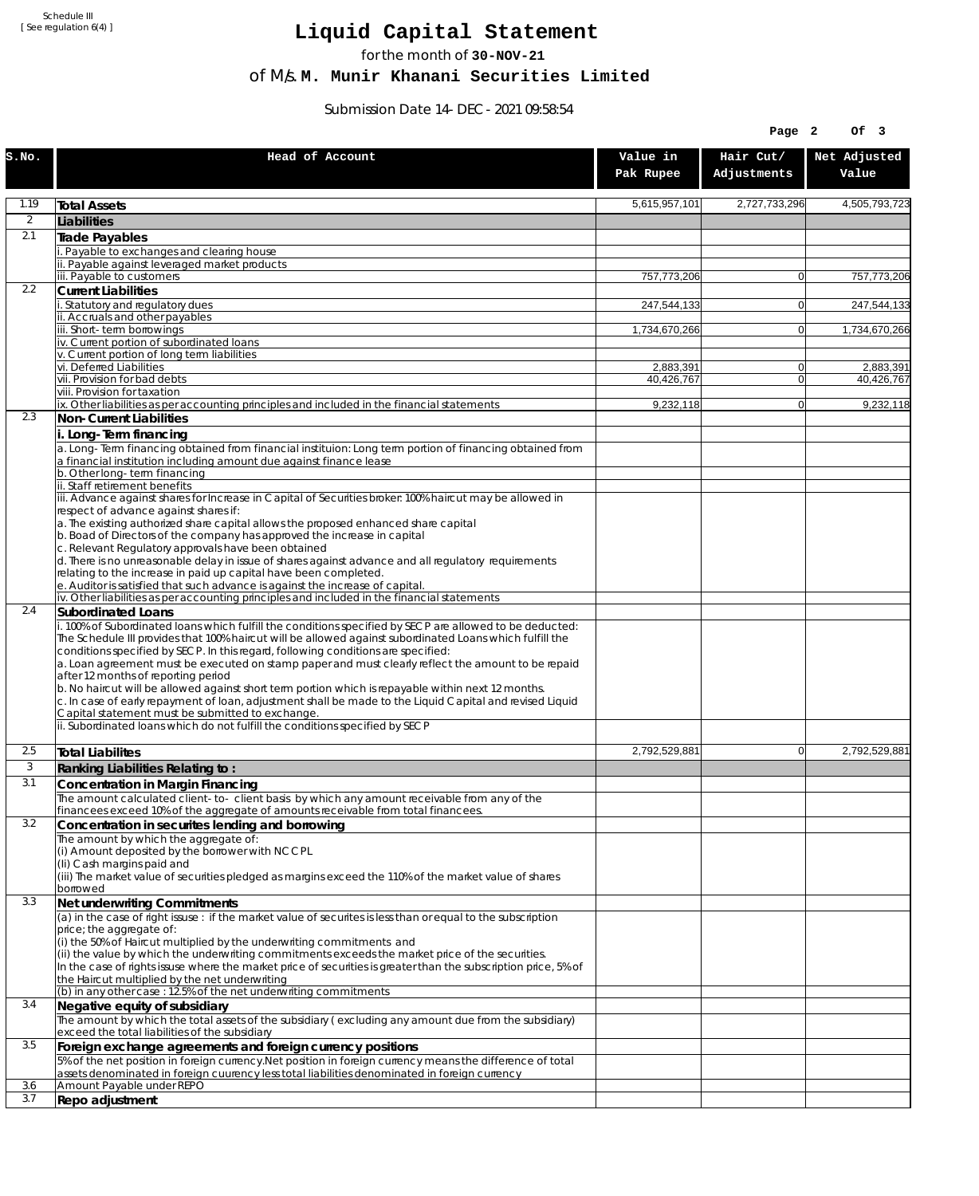Schedule III [ See regulation 6(4) ]

## **Liquid Capital Statement**

for the month of **30-NOV-21**

of M/s. **M. Munir Khanani Securities Limited**

Submission Date 14-DEC-2021 09:58:54

|                |                                                                                                                                                                                                                                                                                                                                                                                                                                                                                                                                                                                                                                                                                                                             |                       | Page 2                   | OF <sub>3</sub>       |
|----------------|-----------------------------------------------------------------------------------------------------------------------------------------------------------------------------------------------------------------------------------------------------------------------------------------------------------------------------------------------------------------------------------------------------------------------------------------------------------------------------------------------------------------------------------------------------------------------------------------------------------------------------------------------------------------------------------------------------------------------------|-----------------------|--------------------------|-----------------------|
| S.NO.          | Head of Account                                                                                                                                                                                                                                                                                                                                                                                                                                                                                                                                                                                                                                                                                                             | Value in<br>Pak Rupee | Hair Cut/<br>Adjustments | Net Adjusted<br>Value |
| 1.19           | <b>Total Assets</b>                                                                                                                                                                                                                                                                                                                                                                                                                                                                                                                                                                                                                                                                                                         | 5,615,957,101         | 2,727,733,296            | 4,505,793,723         |
| $\overline{2}$ | Liabilities                                                                                                                                                                                                                                                                                                                                                                                                                                                                                                                                                                                                                                                                                                                 |                       |                          |                       |
| 2.1            | Trade Payables                                                                                                                                                                                                                                                                                                                                                                                                                                                                                                                                                                                                                                                                                                              |                       |                          |                       |
|                | Payable to exchanges and clearing house<br>ii. Payable against leveraged market products                                                                                                                                                                                                                                                                                                                                                                                                                                                                                                                                                                                                                                    |                       |                          |                       |
|                | iii. Payable to customers                                                                                                                                                                                                                                                                                                                                                                                                                                                                                                                                                                                                                                                                                                   | 757,773,206           | $\overline{0}$           | 757,773,206           |
| 2.2            | <b>Current Liabilities</b>                                                                                                                                                                                                                                                                                                                                                                                                                                                                                                                                                                                                                                                                                                  |                       |                          |                       |
|                | . Statutory and regulatory dues<br>ii. Accruals and other payables                                                                                                                                                                                                                                                                                                                                                                                                                                                                                                                                                                                                                                                          | 247,544,133           | $\mathbf{0}$             | 247,544,133           |
|                | iii. Short-term borrowings                                                                                                                                                                                                                                                                                                                                                                                                                                                                                                                                                                                                                                                                                                  | 1,734,670,266         | $\mathbf{0}$             | 1,734,670,266         |
|                | iv. Current portion of subordinated loans<br>v. Current portion of long term liabilities                                                                                                                                                                                                                                                                                                                                                                                                                                                                                                                                                                                                                                    |                       |                          |                       |
|                | vi. Deferred Liabilities                                                                                                                                                                                                                                                                                                                                                                                                                                                                                                                                                                                                                                                                                                    | 2,883,391             | 0                        | 2,883,391             |
|                | vii. Provision for bad debts                                                                                                                                                                                                                                                                                                                                                                                                                                                                                                                                                                                                                                                                                                | 40,426,767            | 0                        | 40,426,767            |
|                | viii. Provision for taxation<br>ix. Other liabilities as per accounting principles and included in the financial statements                                                                                                                                                                                                                                                                                                                                                                                                                                                                                                                                                                                                 | 9,232,118             | $\overline{0}$           | 9,232,118             |
| 2.3            | Non-Current Liabilities                                                                                                                                                                                                                                                                                                                                                                                                                                                                                                                                                                                                                                                                                                     |                       |                          |                       |
|                | i. Long-Term financing<br>a. Long-Term financing obtained from financial instituion: Long term portion of financing obtained from                                                                                                                                                                                                                                                                                                                                                                                                                                                                                                                                                                                           |                       |                          |                       |
|                | a financial institution including amount due against finance lease                                                                                                                                                                                                                                                                                                                                                                                                                                                                                                                                                                                                                                                          |                       |                          |                       |
|                | b. Other long-term financing<br>ii. Staff retirement benefits                                                                                                                                                                                                                                                                                                                                                                                                                                                                                                                                                                                                                                                               |                       |                          |                       |
|                | iii. Advance against shares for Increase in Capital of Securities broker: 100% haircut may be allowed in<br>respect of advance against shares if:                                                                                                                                                                                                                                                                                                                                                                                                                                                                                                                                                                           |                       |                          |                       |
|                | a. The existing authorized share capital allows the proposed enhanced share capital<br>b. Boad of Directors of the company has approved the increase in capital                                                                                                                                                                                                                                                                                                                                                                                                                                                                                                                                                             |                       |                          |                       |
|                | c. Relevant Regulatory approvals have been obtained<br>d. There is no unreasonable delay in issue of shares against advance and all regulatory requirements<br>relating to the increase in paid up capital have been completed.                                                                                                                                                                                                                                                                                                                                                                                                                                                                                             |                       |                          |                       |
|                | e. Auditor is satisfied that such advance is against the increase of capital.                                                                                                                                                                                                                                                                                                                                                                                                                                                                                                                                                                                                                                               |                       |                          |                       |
| 2.4            | iv. Other liabilities as per accounting principles and included in the financial statements<br>Subordinated Loans                                                                                                                                                                                                                                                                                                                                                                                                                                                                                                                                                                                                           |                       |                          |                       |
|                | . 100% of Subordinated loans which fulfill the conditions specified by SECP are allowed to be deducted:<br>The Schedule III provides that 100% haircut will be allowed against subordinated Loans which fulfill the<br>conditions specified by SECP. In this regard, following conditions are specified:<br>a. Loan agreement must be executed on stamp paper and must clearly reflect the amount to be repaid<br>after 12 months of reporting period<br>b. No haircut will be allowed against short term portion which is repayable within next 12 months.<br>c. In case of early repayment of loan, adjustment shall be made to the Liquid Capital and revised Liquid<br>Capital statement must be submitted to exchange. |                       |                          |                       |
|                | ii. Subordinated loans which do not fulfill the conditions specified by SECP                                                                                                                                                                                                                                                                                                                                                                                                                                                                                                                                                                                                                                                |                       |                          |                       |
| 2.5            | <b>Total Liabilites</b>                                                                                                                                                                                                                                                                                                                                                                                                                                                                                                                                                                                                                                                                                                     | 2,792,529,881         | 0                        | 2,792,529,881         |
| 3              | Ranking Liabilities Relating to:                                                                                                                                                                                                                                                                                                                                                                                                                                                                                                                                                                                                                                                                                            |                       |                          |                       |
| 3.1            | Concentration in Margin Financing                                                                                                                                                                                                                                                                                                                                                                                                                                                                                                                                                                                                                                                                                           |                       |                          |                       |
|                | The amount calculated client-to- client basis by which any amount receivable from any of the<br>financees exceed 10% of the aggregate of amounts receivable from total financees.                                                                                                                                                                                                                                                                                                                                                                                                                                                                                                                                           |                       |                          |                       |
| 3.2            | Concentration in securites lending and borrowing                                                                                                                                                                                                                                                                                                                                                                                                                                                                                                                                                                                                                                                                            |                       |                          |                       |
|                | The amount by which the aggregate of:                                                                                                                                                                                                                                                                                                                                                                                                                                                                                                                                                                                                                                                                                       |                       |                          |                       |
|                | (i) Amount deposited by the borrower with NCCPL<br>(Ii) Cash margins paid and<br>(iii) The market value of securities pledged as margins exceed the 110% of the market value of shares                                                                                                                                                                                                                                                                                                                                                                                                                                                                                                                                      |                       |                          |                       |
|                | borrowed                                                                                                                                                                                                                                                                                                                                                                                                                                                                                                                                                                                                                                                                                                                    |                       |                          |                       |
| 3.3            | Net underwriting Commitments<br>(a) in the case of right issuse : if the market value of securites is less than or equal to the subscription                                                                                                                                                                                                                                                                                                                                                                                                                                                                                                                                                                                |                       |                          |                       |
|                | price; the aggregate of:                                                                                                                                                                                                                                                                                                                                                                                                                                                                                                                                                                                                                                                                                                    |                       |                          |                       |
|                | (i) the 50% of Haircut multiplied by the underwriting commitments and<br>(ii) the value by which the underwriting commitments exceeds the market price of the securities.<br>In the case of rights issuse where the market price of securities is greater than the subscription price, 5% of                                                                                                                                                                                                                                                                                                                                                                                                                                |                       |                          |                       |
|                | the Haircut multiplied by the net underwriting<br>(b) in any other case: 12.5% of the net underwriting commitments                                                                                                                                                                                                                                                                                                                                                                                                                                                                                                                                                                                                          |                       |                          |                       |
| 3.4            | Negative equity of subsidiary                                                                                                                                                                                                                                                                                                                                                                                                                                                                                                                                                                                                                                                                                               |                       |                          |                       |
|                | The amount by which the total assets of the subsidiary (excluding any amount due from the subsidiary)<br>exceed the total liabilities of the subsidiary                                                                                                                                                                                                                                                                                                                                                                                                                                                                                                                                                                     |                       |                          |                       |
| 3.5            | Foreign exchange agreements and foreign currency positions<br>5% of the net position in foreign currency. Net position in foreign currency means the difference of total                                                                                                                                                                                                                                                                                                                                                                                                                                                                                                                                                    |                       |                          |                       |
| 3.6            | assets denominated in foreign cuurency less total liabilities denominated in foreign currency<br>Amount Payable under REPO                                                                                                                                                                                                                                                                                                                                                                                                                                                                                                                                                                                                  |                       |                          |                       |
| 3.7            | Repo adjustment                                                                                                                                                                                                                                                                                                                                                                                                                                                                                                                                                                                                                                                                                                             |                       |                          |                       |